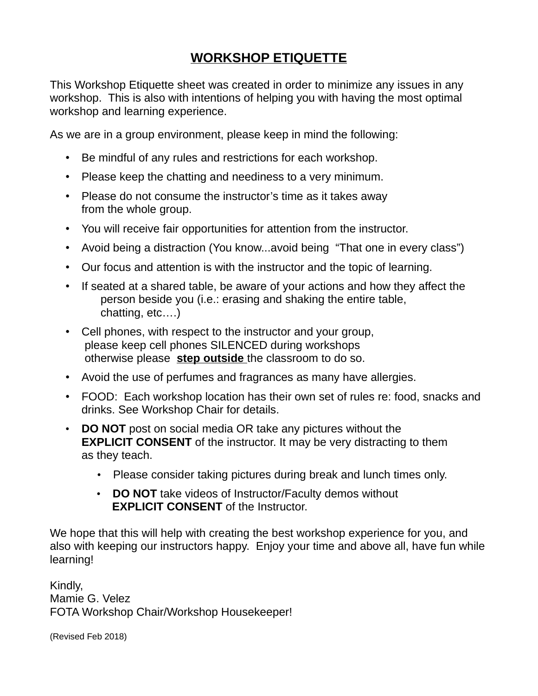## **WORKSHOP ETIQUETTE**

This Workshop Etiquette sheet was created in order to minimize any issues in any workshop. This is also with intentions of helping you with having the most optimal workshop and learning experience.

As we are in a group environment, please keep in mind the following:

- Be mindful of any rules and restrictions for each workshop.
- Please keep the chatting and neediness to a very minimum.
- Please do not consume the instructor's time as it takes away from the whole group.
- You will receive fair opportunities for attention from the instructor.
- Avoid being a distraction (You know...avoid being "That one in every class")
- Our focus and attention is with the instructor and the topic of learning.
- If seated at a shared table, be aware of your actions and how they affect the person beside you (i.e.: erasing and shaking the entire table, chatting, etc….)
- Cell phones, with respect to the instructor and your group, please keep cell phones SILENCED during workshops otherwise please **step outside** the classroom to do so.
- Avoid the use of perfumes and fragrances as many have allergies.
- FOOD: Each workshop location has their own set of rules re: food, snacks and drinks. See Workshop Chair for details.
- **DO NOT** post on social media OR take any pictures without the **EXPLICIT CONSENT** of the instructor. It may be very distracting to them as they teach.
	- Please consider taking pictures during break and lunch times only.
	- **DO NOT** take videos of Instructor/Faculty demos without **EXPLICIT CONSENT** of the Instructor.

We hope that this will help with creating the best workshop experience for you, and also with keeping our instructors happy. Enjoy your time and above all, have fun while learning!

Kindly, Mamie G. Velez FOTA Workshop Chair/Workshop Housekeeper!